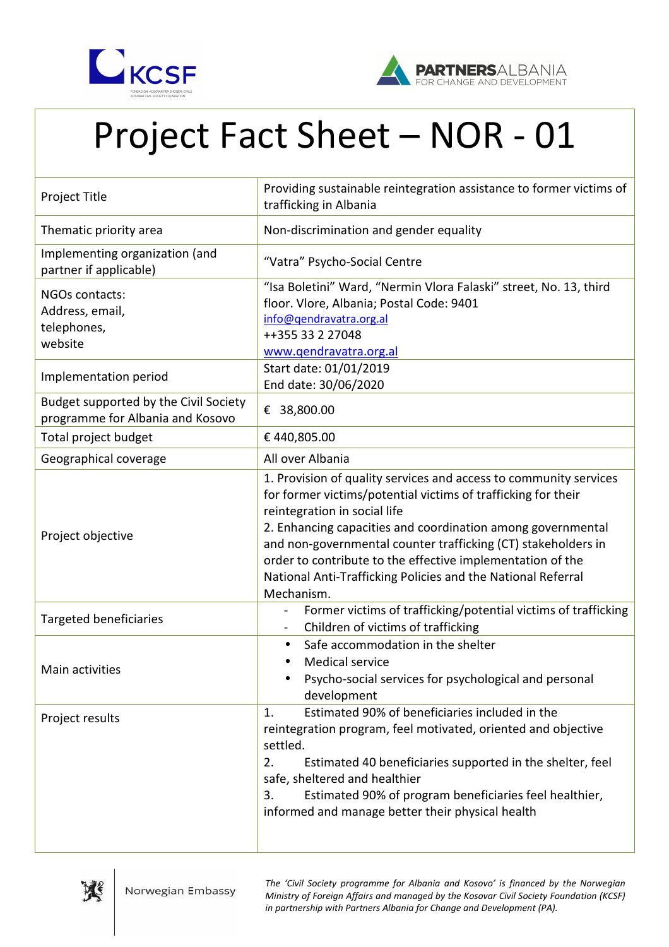



## Project Fact Sheet – NOR - 01

| Project Title                                                             | Providing sustainable reintegration assistance to former victims of<br>trafficking in Albania                                                                                                                                                                                                                                                                                                                                                  |
|---------------------------------------------------------------------------|------------------------------------------------------------------------------------------------------------------------------------------------------------------------------------------------------------------------------------------------------------------------------------------------------------------------------------------------------------------------------------------------------------------------------------------------|
| Thematic priority area                                                    | Non-discrimination and gender equality                                                                                                                                                                                                                                                                                                                                                                                                         |
| Implementing organization (and<br>partner if applicable)                  | "Vatra" Psycho-Social Centre                                                                                                                                                                                                                                                                                                                                                                                                                   |
| NGOs contacts:<br>Address, email,<br>telephones,<br>website               | "Isa Boletini" Ward, "Nermin Vlora Falaski" street, No. 13, third<br>floor. Vlore, Albania; Postal Code: 9401<br>info@qendravatra.org.al<br>++355 33 2 27048<br>www.qendravatra.org.al                                                                                                                                                                                                                                                         |
| Implementation period                                                     | Start date: 01/01/2019<br>End date: 30/06/2020                                                                                                                                                                                                                                                                                                                                                                                                 |
| Budget supported by the Civil Society<br>programme for Albania and Kosovo | € 38,800.00                                                                                                                                                                                                                                                                                                                                                                                                                                    |
| Total project budget                                                      | €440,805.00                                                                                                                                                                                                                                                                                                                                                                                                                                    |
| Geographical coverage                                                     | All over Albania                                                                                                                                                                                                                                                                                                                                                                                                                               |
| Project objective                                                         | 1. Provision of quality services and access to community services<br>for former victims/potential victims of trafficking for their<br>reintegration in social life<br>2. Enhancing capacities and coordination among governmental<br>and non-governmental counter trafficking (CT) stakeholders in<br>order to contribute to the effective implementation of the<br>National Anti-Trafficking Policies and the National Referral<br>Mechanism. |
| <b>Targeted beneficiaries</b>                                             | Former victims of trafficking/potential victims of trafficking<br>Children of victims of trafficking                                                                                                                                                                                                                                                                                                                                           |
| Main activities                                                           | Safe accommodation in the shelter<br>$\bullet$<br><b>Medical service</b><br>Psycho-social services for psychological and personal<br>development                                                                                                                                                                                                                                                                                               |
| Project results                                                           | Estimated 90% of beneficiaries included in the<br>1.<br>reintegration program, feel motivated, oriented and objective<br>settled.<br>2.<br>Estimated 40 beneficiaries supported in the shelter, feel<br>safe, sheltered and healthier<br>Estimated 90% of program beneficiaries feel healthier,<br>3.<br>informed and manage better their physical health                                                                                      |



*The 'Civil Society programme for Albania and Kosovo' is financed by the Norwegian Ministry of Foreign Affairs and managed by the Kosovar Civil Society Foundation (KCSF) in partnership with Partners Albania for Change and Development (PA).*